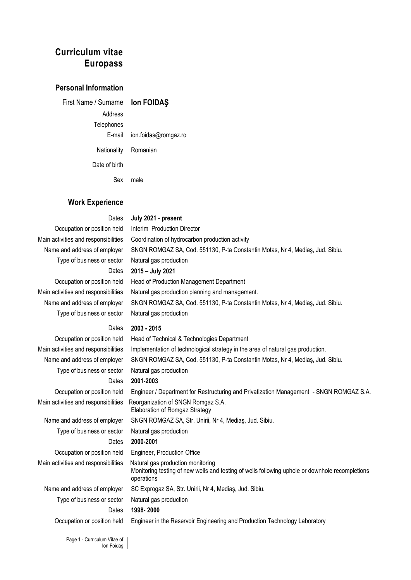# **Curriculum vitae Europass**

# **Personal Information**

First Name / Surname **Ion FOIDAŞ**  Address Telephones E-mail ion.foidas@romgaz.ro Nationality Romanian Date of birth Sex male

# **Work Experience**

#### Dates **July 2021 - present**

Occupation or position held Interim Production Director

Type of business or sector Natural gas production Dates **2015 – July 2021** Occupation or position held Head of Production Management Department Main activities and responsibilities Natural gas production planning and management. Type of business or sector Natural gas production Dates **2003 - 2015** Occupation or position held Head of Technical & Technologies Department

Main activities and responsibilities Implementation of technological strategy in the area of natural gas production. Type of business or sector Natural gas production Dates **2001-2003** Main activities and responsibilities Reorganization of SNGN Romgaz S.A. Elaboration of Romgaz Strategy Name and address of employer SNGN ROMGAZ SA, Str. Unirii, Nr 4, Medias, Jud. Sibiu. Type of business or sector Natural gas production Dates **2000-2001** Occupation or position held Engineer, Production Office Main activities and responsibilities Natural gas production monitoring Monitoring testing of new wells and testing of wells following uphole or downhole recompletions operations Name and address of employer SC Exprogaz SA, Str. Unirii, Nr 4, Medias, Jud. Sibiu. Type of business or sector Natural gas production Dates **1998- 2000**

Occupation or position held Engineer in the Reservoir Engineering and Production Technology Laboratory

Main activities and responsibilities Coordination of hydrocarbon production activity Name and address of employer SNGN ROMGAZ SA, Cod. 551130, P-ta Constantin Motas, Nr 4, Mediaş, Jud. Sibiu. Name and address of employer SNGN ROMGAZ SA, Cod. 551130, P-ta Constantin Motas, Nr 4, Mediaş, Jud. Sibiu. Name and address of employer SNGN ROMGAZ SA, Cod. 551130, P-ta Constantin Motas, Nr 4, Mediaş, Jud. Sibiu. Occupation or position held Engineer / Department for Restructuring and Privatization Management - SNGN ROMGAZ S.A.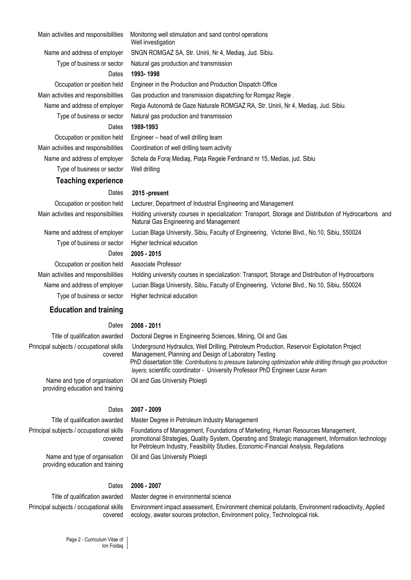#### Main activities and responsibilities Monitoring well stimulation and sand control operations

Type of business or sector Natural gas production and transmission

Type of business or sector Well drilling

# **Teaching experience**

Type of business or sector Higher technical education Occupation or position held Associate Professor

Type of business or sector Higher technical education

# **Education and training**

#### Dates **2008 - 2011**

#### Title of qualification awarded Doctoral Degree in Engineering Sciences, Mining, Oil and Gas

Principal subjects / occupational skills covered Underground Hydraulics, Well Drilling, Petroleum Production, Reservoir Exploitation Project Management, Planning and Design of Laboratory Testing PhD dissertation title: *Contributions to pressure balancing optimization while drilling through gas production layers*; scientific coordinator - University Professor PhD Engineer Lazar Avram

Foundations of Management, Foundations of Marketing, Human Resources Management,

Name and type of organisation providing education and training

#### Dates **2007 - 2009**

#### Title of qualification awarded Master Degree in Petroleum Industry Management

Oil and Gas University Ploieşti

Principal subjects / occupational skills covered

> Name and type of organisation providing education and training

for Petroleum Industry, Feasibility Studies, Economic-Financial Analysis, Regulations Oil and Gas University Ploieşti

#### Dates **2006 - 2007**

# Principal subjects / occupational skills covered

Title of qualification awarded Master degree in environmental science

Environment impact assessment, Environment chemical polutants, Environment radioactivity, Applied ecology, awater sources protection, Environment policy, Technological risk.

promotional Strategies, Quality System, Operating and Strategic management, Information technology

Well investigation Name and address of employer SNGN ROMGAZ SA, Str. Unirii, Nr 4, Mediaş, Jud. Sibiu. Type of business or sector Natural gas production and transmission Dates **1993- 1998** Occupation or position held Engineer in the Production and Production Dispatch Office Main activities and responsibilities Gas production and transmission dispatching for Romgaz Regie . Name and address of employer Regia Autonomă de Gaze Naturale ROMGAZ RA, Str. Unirii, Nr 4, Medias, Jud. Sibiu.

#### Dates **1989-1993**

Occupation or position held Engineer – head of well drilling team Main activities and responsibilities Coordination of well drilling team activity Name and address of employer Schela de Foraj Mediaş, Piaţa Regele Ferdinand nr 15, Medias, jud. Sibiu

#### Dates **2015 -present**

Occupation or position held Lecturer, Department of Industrial Engineering and Management Main activities and responsibilities Holding university courses in specialization: Transport, Storage and Distribution of Hydrocarbons and Natural Gas Engineering and Management Name and address of employer Lucian Blaga University, Sibiu, Faculty of Engineering, Victoriei Blvd., No.10, Sibiu, 550024 Dates **2005 - 2015**

Main activities and responsibilities Holding university courses in specialization: Transport, Storage and Distribution of Hydrocarbons Name and address of employer Lucian Blaga University, Sibiu, Faculty of Engineering, Victoriei Blvd., No.10, Sibiu, 550024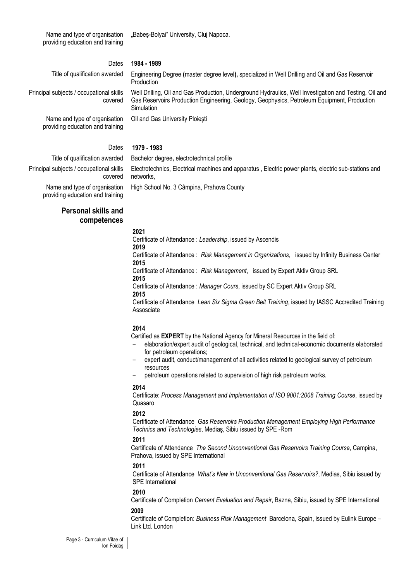Name and type of organisation providing education and training

"Babes-Bolyai" University, Cluj Napoca.

### Dates **1984 - 1989**

covered

Title of qualification awarded Engineering Degree **(**master degree level**),** specialized in Well Drilling and Oil and Gas Reservoir Production

> Well Drilling, Oil and Gas Production, Underground Hydraulics, Well Investigation and Testing, Oil and Gas Reservoirs Production Engineering, Geology, Geophysics, Petroleum Equipment, Production Simulation

Name and type of organisation providing education and training

Principal subjects / occupational skills

Oil and Gas University Ploieşti

#### Dates **1979 - 1983**

networks,

Title of qualification awarded Bachelor degree**,** electrotechnical profile

High School No. 3 Câmpina, Prahova County

Principal subjects / occupational skills covered

Name and type of organisation providing education and training

# **Personal skills and competences**

#### **2021**

Certificate of Attendance : *Leadership*, issued by Ascendis **2019** Certificate of Attendance :*Risk Management in Organizations*, issued by Infinity Business Center **2015**

Electrotechnics, Electrical machines and apparatus , Electric power plants, electric sub-stations and

Certificate of Attendance :*Risk Management*, issued by Expert Aktiv Group SRL **2015**

Certificate of Attendance : *Manager Cours*, issued by SC Expert Aktiv Group SRL

**2015**

Certificate of Attendance*Lean Six Sigma Green Belt Training*, issued by IASSC Accredited Training Assosciate

#### **2014**

Certified as **EXPERT** by the National Agency for Mineral Resources in the field of:

- elaboration/expert audit of geological, technical, and technical-economic documents elaborated for petroleum operations;
- expert audit, conduct/management of all activities related to geological survey of petroleum resources
- petroleum operations related to supervision of high risk petroleum works.

#### **2014**

Certificate: *Process Management and Implementation of ISO 9001:2008 Training Course*, issued by Quasaro

#### **2012**

Certificate of Attendance *Gas Reservoirs Production Management Employing High Performance Technics and Technologies*, Mediaş, Sibiu issued by SPE -Rom

#### **2011**

Certificate of Attendance*The Second Unconventional Gas Reservoirs Training Course*, Campina, Prahova, issued by SPE International

#### **2011**

Certificate of Attendance*What's New in Unconventional Gas Reservoirs?*, Medias, Sibiu issued by SPE International

#### **2010**

Certificate of Completion *Cement Evaluation and Repair*, Bazna, Sibiu, issued by SPE International

#### **2009**

Certificate of Completion: *Business Risk Management* Barcelona, Spain, issued by Eulink Europe – Link Ltd. London